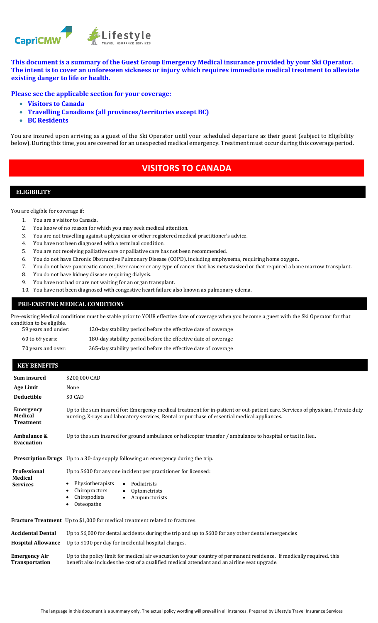

**This document is a summary of the Guest Group Emergency Medical insurance provided by your Ski Operator. The intent is to cover an unforeseen sickness or injury which requires immediate medical treatment to alleviate existing danger to life or health.**

**Please see the applicable section for your coverage:**

- **Visitors to Canada**
- **Travelling Canadians (all provinces/territories except BC)**
- **BC Residents**

You are insured upon arriving as a guest of the Ski Operator until your scheduled departure as their guest (subject to Eligibility below). During this time, you are covered for an unexpected medical emergency. Treatment must occur during this coverage period.

# **VISITORS TO CANADA**

## **ELIGIBILITY**

You are eligible for coverage if:

- 1. You are a visitor to Canada.
- 2. You know of no reason for which you may seek medical attention.
- 3. You are not travelling against a physician or other registered medical practitioner's advice.
- 4. You have not been diagnosed with a terminal condition.
- 5. You are not receiving palliative care or palliative care has not been recommended.
- 6. You do not have Chronic Obstructive Pulmonary Disease (COPD), including emphysema, requiring home oxygen.
- 7. You do not have pancreatic cancer, liver cancer or any type of cancer that has metastasized or that required a bone marrow transplant.
- 8. You do not have kidney disease requiring dialysis.
- 9. You have not had or are not waiting for an organ transplant.
- 10. You have not been diagnosed with congestive heart failure also known as pulmonary edema.

#### **PRE-EXISTING MEDICAL CONDITIONS**

Pre-existing Medical conditions must be stable prior to YOUR effective date of coverage when you become a guest with the Ski Operator for that condition to be eligible.

59 years and under: 120-day stability period before the effective date of coverage 60 to 69 years: 180-day stability period before the effective date of coverage 70 years and over: 365-day stability period before the effective date of coverage

#### **KEY BENEFITS**

| Sum insured<br><b>Age Limit</b><br><b>Deductible</b> | \$200,000 CAD<br>None<br>\$0 CAD                                                                                                                                                                                               |
|------------------------------------------------------|--------------------------------------------------------------------------------------------------------------------------------------------------------------------------------------------------------------------------------|
| <b>Emergency</b><br>Medical<br><b>Treatment</b>      | Up to the sum insured for: Emergency medical treatment for in-patient or out-patient care, Services of physician, Private duty<br>nursing, X-rays and laboratory services, Rental or purchase of essential medical appliances. |
| Ambulance &<br><b>Evacuation</b>                     | Up to the sum insured for ground ambulance or helicopter transfer / ambulance to hospital or taxi in lieu.                                                                                                                     |
|                                                      | <b>Prescription Drugs</b> Up to a 30-day supply following an emergency during the trip.                                                                                                                                        |
| Professional<br>Medical<br><b>Services</b>           | Up to \$600 for any one incident per practitioner for licensed:<br>Physiotherapists<br>Podiatrists<br>$\bullet$<br>Chiropractors<br>Optometrists<br>$\bullet$<br>Chiropodists<br>Acupuncturists<br>$\bullet$<br>Osteopaths     |
|                                                      | Fracture Treatment Up to \$1,000 for medical treatment related to fractures.                                                                                                                                                   |
| <b>Accidental Dental</b>                             | Up to \$6,000 for dental accidents during the trip and up to \$600 for any other dental emergencies                                                                                                                            |
| <b>Hospital Allowance</b>                            | Up to \$100 per day for incidental hospital charges.                                                                                                                                                                           |
| <b>Emergency Air</b><br><b>Transportation</b>        | Up to the policy limit for medical air evacuation to your country of permanent residence. If medically required, this<br>benefit also includes the cost of a qualified medical attendant and an airline seat upgrade.          |
|                                                      |                                                                                                                                                                                                                                |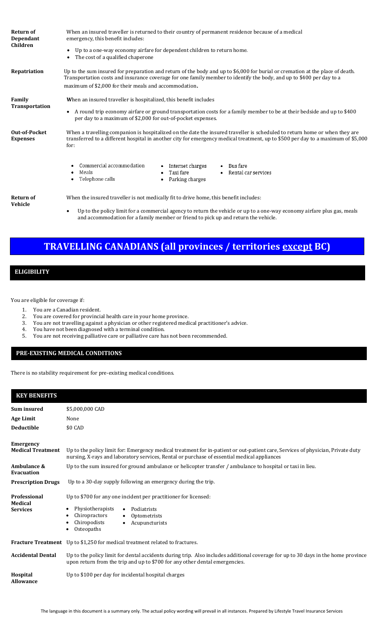| <b>Return of</b><br>Dependant<br>Children | When an insured traveller is returned to their country of permanent residence because of a medical<br>emergency, this benefit includes:                                                                                                                                |
|-------------------------------------------|------------------------------------------------------------------------------------------------------------------------------------------------------------------------------------------------------------------------------------------------------------------------|
|                                           | Up to a one-way economy airfare for dependent children to return home.<br>The cost of a qualified chaperone                                                                                                                                                            |
| Repatriation                              | Up to the sum insured for preparation and return of the body and up to \$6,000 for burial or cremation at the place of death.<br>Transportation costs and insurance coverage for one family member to identify the body, and up to \$400 per day to a                  |
|                                           | maximum of \$2,000 for their meals and accommodation.                                                                                                                                                                                                                  |
| Family                                    | When an insured traveller is hospitalized, this benefit includes                                                                                                                                                                                                       |
| Transportation                            | A round trip economy airfare or ground transportation costs for a family member to be at their bedside and up to \$400<br>$\bullet$<br>per day to a maximum of \$2,000 for out-of-pocket expenses.                                                                     |
| <b>Out-of-Pocket</b><br><b>Expenses</b>   | When a travelling companion is hospitalized on the date the insured traveller is scheduled to return home or when they are<br>transferred to a different hospital in another city for emergency medical treatment, up to \$500 per day to a maximum of \$5,000<br>for: |
|                                           | Commercial accommodation<br>Internet charges<br>Bus fare<br>$\bullet$<br>Meals<br>• Rental car services<br>Taxi fare<br>٠<br>Telephone calls<br>Parking charges<br>٠                                                                                                   |
| <b>Return of</b><br>Vehicle               | When the insured traveller is not medically fit to drive home, this benefit includes:                                                                                                                                                                                  |
|                                           | In to the nolicy limit for a commercial agancy to return the vehicle or un to a one-way economy airfare plus gas meals                                                                                                                                                 |

• Up to the policy limit for a commercial agency to return the vehicle or up to a one-way economy airfare plus gas, meals and accommodation for a family member or friend to pick up and return the vehicle.

# **TRAVELLING CANADIANS (all provinces / territories except BC)**

### **ELIGIBILITY**

You are eligible for coverage if:

- 1. You are a Canadian resident.
- 2. You are covered for provincial health care in your home province.
- 3. You are not travelling against a physician or other registered medical practitioner's advice.
- 4. You have not been diagnosed with a terminal condition.
- 5. You are not receiving palliative care or palliative care has not been recommended.

### **PRE-EXISTING MEDICAL CONDITIONS**

There is no stability requirement for pre-existing medical conditions.

## **KEY BENEFITS**

| <b>Sum insured</b>                    | \$5,000,000 CAD                                                                                                                                                                                                                |  |  |
|---------------------------------------|--------------------------------------------------------------------------------------------------------------------------------------------------------------------------------------------------------------------------------|--|--|
| Age Limit                             | None                                                                                                                                                                                                                           |  |  |
| <b>Deductible</b>                     | \$0 CAD                                                                                                                                                                                                                        |  |  |
| <b>Emergency</b>                      |                                                                                                                                                                                                                                |  |  |
| <b>Medical Treatment</b>              | Up to the policy limit for: Emergency medical treatment for in-patient or out-patient care, Services of physician, Private duty<br>nursing, X-rays and laboratory services, Rental or purchase of essential medical appliances |  |  |
| Ambulance &<br>Evacuation             | Up to the sum insured for ground ambulance or helicopter transfer / ambulance to hospital or taxi in lieu.                                                                                                                     |  |  |
| <b>Prescription Drugs</b>             | Up to a 30-day supply following an emergency during the trip.                                                                                                                                                                  |  |  |
| <b>Professional</b><br><b>Medical</b> | Up to \$700 for any one incident per practitioner for licensed:                                                                                                                                                                |  |  |
| <b>Services</b>                       | Physiotherapists<br>Podiatrists<br>$\bullet$                                                                                                                                                                                   |  |  |
|                                       | Chiropractors<br>Optometrists<br>Chiropodists                                                                                                                                                                                  |  |  |
|                                       | Acupuncturists<br>$\bullet$<br>Osteopaths                                                                                                                                                                                      |  |  |
|                                       | <b>Fracture Treatment</b> Up to \$1,250 for medical treatment related to fractures.                                                                                                                                            |  |  |
| <b>Accidental Dental</b>              | Up to the policy limit for dental accidents during trip. Also includes additional coverage for up to 30 days in the home province<br>upon return from the trip and up to \$700 for any other dental emergencies.               |  |  |
| Hospital<br>Allowance                 | Up to \$100 per day for incidental hospital charges                                                                                                                                                                            |  |  |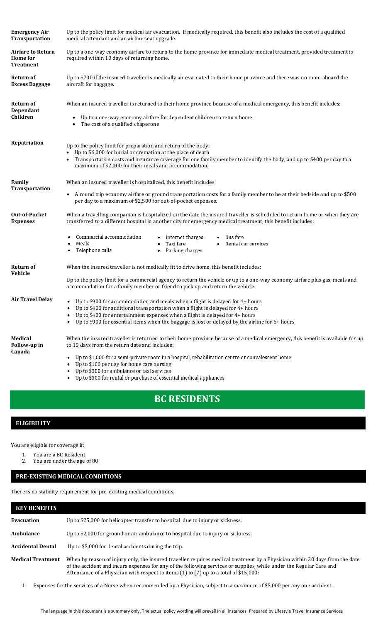| Up to the policy limit for medical air evacuation. If medically required, this benefit also includes the cost of a qualified<br>medical attendant and an airline seat upgrade.                                                                                                                                   |  |  |  |  |
|------------------------------------------------------------------------------------------------------------------------------------------------------------------------------------------------------------------------------------------------------------------------------------------------------------------|--|--|--|--|
| Up to a one-way economy airfare to return to the home province for immediate medical treatment, provided treatment is<br>required within 10 days of returning home.                                                                                                                                              |  |  |  |  |
| Up to \$700 if the insured traveller is medically air evacuated to their home province and there was no room aboard the<br>aircraft for baggage.                                                                                                                                                                 |  |  |  |  |
| When an insured traveller is returned to their home province because of a medical emergency, this benefit includes:                                                                                                                                                                                              |  |  |  |  |
| • Up to a one-way economy airfare for dependent children to return home.<br>The cost of a qualified chaperone                                                                                                                                                                                                    |  |  |  |  |
| Up to the policy limit for preparation and return of the body:<br>• Up to \$6,000 for burial or cremation at the place of death<br>Transportation costs and insurance coverage for one family member to identify the body, and up to \$400 per day to a<br>maximum of \$2,000 for their meals and accommodation. |  |  |  |  |
| When an insured traveller is hospitalized, this benefit includes                                                                                                                                                                                                                                                 |  |  |  |  |
| • A round trip economy airfare or ground transportation costs for a family member to be at their bedside and up to \$500<br>per day to a maximum of \$2,500 for out-of-pocket expenses.                                                                                                                          |  |  |  |  |
| When a travelling companion is hospitalized on the date the insured traveller is scheduled to return home or when they are<br>transferred to a different hospital in another city for emergency medical treatment, this benefit includes:                                                                        |  |  |  |  |
| Commercial accommodation<br>• Internet charges<br>• Bus fare<br>Meals<br>• Taxi fare<br>• Rental car services<br>• Telephone calls<br>• Parking charges                                                                                                                                                          |  |  |  |  |
| When the insured traveller is not medically fit to drive home, this benefit includes:                                                                                                                                                                                                                            |  |  |  |  |
| Up to the policy limit for a commercial agency to return the vehicle or up to a one-way economy airfare plus gas, meals and<br>accommodation for a family member or friend to pick up and return the vehicle.                                                                                                    |  |  |  |  |
| • Up to \$900 for accommodation and meals when a flight is delayed for 4+ hours<br>Up to \$400 for additional transportation when a flight is delayed for 4+ hours                                                                                                                                               |  |  |  |  |
| Up to \$400 for entertainment expenses when a flight is delayed for 4+ hours<br>• Up to \$900 for essential items when the baggage is lost or delayed by the airline for 6+ hours                                                                                                                                |  |  |  |  |
| When the insured traveller is returned to their home province because of a medical emergency, this benefit is available for up<br>to 15 days from the return date and includes:                                                                                                                                  |  |  |  |  |
| Up to \$1,000 for a semi-private room in a hospital, rehabilitation centre or convalescent home<br>Up to \$100 per day for home care nursing                                                                                                                                                                     |  |  |  |  |
| Up to \$300 for ambulance or taxi services<br>Up to \$300 for rental or purchase of essential medical appliances                                                                                                                                                                                                 |  |  |  |  |
|                                                                                                                                                                                                                                                                                                                  |  |  |  |  |

# **BC RESIDENTS**

## **ELIGIBILITY**

You are eligible for coverage if:

- 1. You are a BC Resident<br>2. You are under the age
	- You are under the age of 80

## **PRE-EXISTING MEDICAL CONDITIONS**

There is no stability requirement for pre-existing medical conditions.

| <b>KEY BENEFITS</b> |                                                                                                                                                                                                                                                                                                                                             |
|---------------------|---------------------------------------------------------------------------------------------------------------------------------------------------------------------------------------------------------------------------------------------------------------------------------------------------------------------------------------------|
| Evacuation          | Up to \$25,000 for helicopter transfer to hospital due to injury or sickness.                                                                                                                                                                                                                                                               |
| Ambulance           | Up to \$2,000 for ground or air ambulance to hospital due to injury or sickness.                                                                                                                                                                                                                                                            |
| Accidental Dental   | Up to \$5,000 for dental accidents during the trip.                                                                                                                                                                                                                                                                                         |
| Medical Treatment   | When by reason of injury only, the insured traveller requires medical treatment by a Physician within 30 days from the date<br>of the accident and incurs expenses for any of the following services or supplies, while under the Regular Care and<br>Attendance of a Physician with respect to items (1) to (7) up to a total of \$15,000: |

1. Expenses for the services of a Nurse when recommended by a Physician, subject to a maximum of \$5,000 per any one accident.